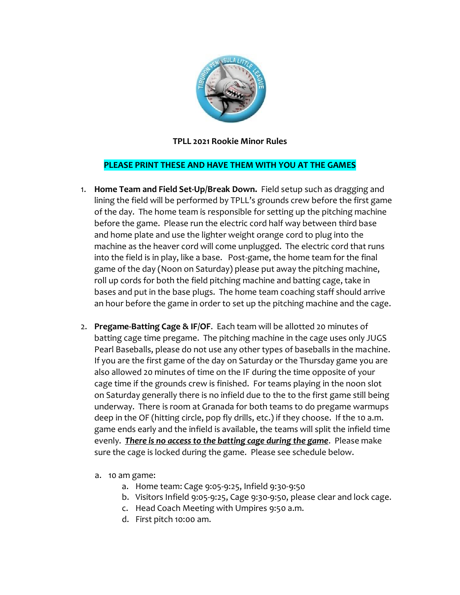

## **TPLL 2021 Rookie Minor Rules**

## **PLEASE PRINT THESE AND HAVE THEM WITH YOU AT THE GAMES**

- 1. **Home Team and Field Set-Up/Break Down.** Field setup such as dragging and lining the field will be performed by TPLL's grounds crew before the first game of the day. The home team is responsible for setting up the pitching machine before the game. Please run the electric cord half way between third base and home plate and use the lighter weight orange cord to plug into the machine as the heaver cord will come unplugged. The electric cord that runs into the field is in play, like a base. Post-game, the home team for the final game of the day (Noon on Saturday) please put away the pitching machine, roll up cords for both the field pitching machine and batting cage, take in bases and put in the base plugs. The home team coaching staff should arrive an hour before the game in order to set up the pitching machine and the cage.
- 2. **Pregame-Batting Cage & IF/OF**. Each team will be allotted 20 minutes of batting cage time pregame. The pitching machine in the cage uses only JUGS Pearl Baseballs, please do not use any other types of baseballs in the machine. If you are the first game of the day on Saturday or the Thursday game you are also allowed 20 minutes of time on the IF during the time opposite of your cage time if the grounds crew is finished. For teams playing in the noon slot on Saturday generally there is no infield due to the to the first game still being underway. There is room at Granada for both teams to do pregame warmups deep in the OF (hitting circle, pop fly drills, etc.) if they choose. If the 10 a.m. game ends early and the infield is available, the teams will split the infield time evenly. *There is no access to the batting cage during the game*. Please make sure the cage is locked during the game. Please see schedule below.
	- a. 10 am game:
		- a. Home team: Cage 9:05-9:25, Infield 9:30-9:50
		- b. Visitors Infield 9:05-9:25, Cage 9:30-9:50, please clear and lock cage.
		- c. Head Coach Meeting with Umpires 9:50 a.m.
		- d. First pitch 10:00 am.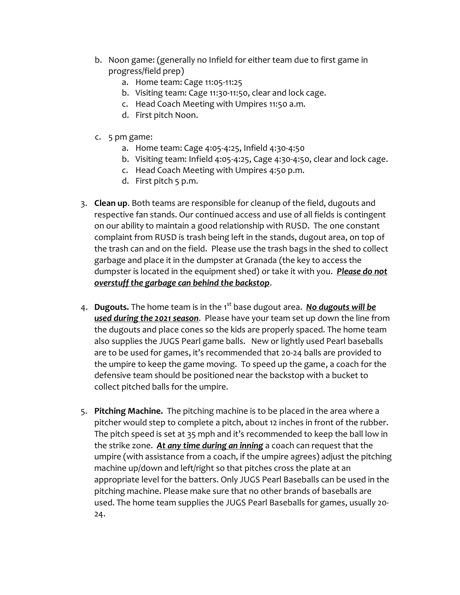- b. Noon game: (generally no Infield for either team due to first game in progress/field prep)
	- a. Home team: Cage 11:05-11:25
	- b. Visiting team: Cage 11:30-11:50, clear and lock cage.
	- c. Head Coach Meeting with Umpires 11:50 a.m.
	- d. First pitch Noon.
- c. 5 pm game:
	- a. Home team: Cage 4:05-4:25, Infield 4:30-4:50
	- b. Visiting team: Infield 4:05-4:25, Cage 4:30-4:50, clear and lock cage.
	- c. Head Coach Meeting with Umpires 4:50 p.m.
	- d. First pitch 5 p.m.
- 3. **Clean up**. Both teams are responsible for cleanup of the field, dugouts and respective fan stands. Our continued access and use of all fields is contingent on our ability to maintain a good relationship with RUSD. The one constant complaint from RUSD is trash being left in the stands, dugout area, on top of the trash can and on the field. Please use the trash bags in the shed to collect garbage and place it in the dumpster at Granada (the key to access the dumpster is located in the equipment shed) or take it with you. *Please do not overstuff the garbage can behind the backstop*.
- 4. **Dugouts.** The home team is in the 1st base dugout area. *No dugouts will be used during the 2021 season*. Please have your team set up down the line from the dugouts and place cones so the kids are properly spaced. The home team also supplies the JUGS Pearl game balls. New or lightly used Pearl baseballs are to be used for games, it's recommended that 20-24 balls are provided to the umpire to keep the game moving. To speed up the game, a coach for the defensive team should be positioned near the backstop with a bucket to collect pitched balls for the umpire.
- 5. **Pitching Machine.** The pitching machine is to be placed in the area where a pitcher would step to complete a pitch, about 12 inches in front of the rubber. The pitch speed is set at 35 mph and it's recommended to keep the ball low in the strike zone. *At any time during an inning* a coach can request that the umpire (with assistance from a coach, if the umpire agrees) adjust the pitching machine up/down and left/right so that pitches cross the plate at an appropriate level for the batters. Only JUGS Pearl Baseballs can be used in the pitching machine. Please make sure that no other brands of baseballs are used. The home team supplies the JUGS Pearl Baseballs for games, usually 20- 24.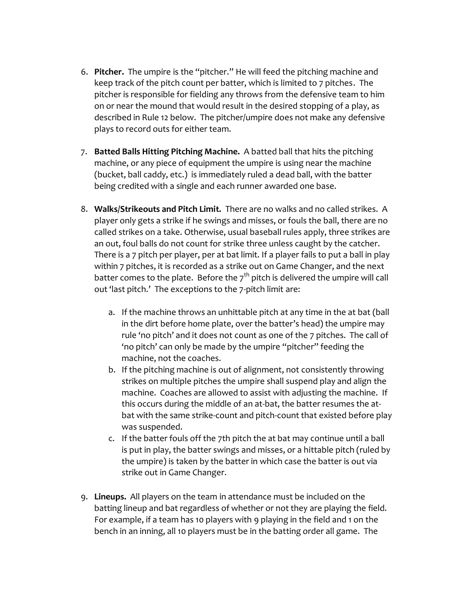- 6. **Pitcher.** The umpire is the "pitcher." He will feed the pitching machine and keep track of the pitch count per batter, which is limited to 7 pitches. The pitcher is responsible for fielding any throws from the defensive team to him on or near the mound that would result in the desired stopping of a play, as described in Rule 12 below. The pitcher/umpire does not make any defensive plays to record outs for either team.
- 7. **Batted Balls Hitting Pitching Machine.** A batted ball that hits the pitching machine, or any piece of equipment the umpire is using near the machine (bucket, ball caddy, etc.) is immediately ruled a dead ball, with the batter being credited with a single and each runner awarded one base.
- 8. **Walks/Strikeouts and Pitch Limit.** There are no walks and no called strikes. A player only gets a strike if he swings and misses, or fouls the ball, there are no called strikes on a take. Otherwise, usual baseball rules apply, three strikes are an out, foul balls do not count for strike three unless caught by the catcher. There is a 7 pitch per player, per at bat limit. If a player fails to put a ball in play within 7 pitches, it is recorded as a strike out on Game Changer, and the next batter comes to the plate. Before the  $7<sup>th</sup>$  pitch is delivered the umpire will call out 'last pitch.' The exceptions to the 7-pitch limit are:
	- a. If the machine throws an unhittable pitch at any time in the at bat (ball in the dirt before home plate, over the batter's head) the umpire may rule 'no pitch' and it does not count as one of the 7 pitches. The call of 'no pitch' can only be made by the umpire "pitcher" feeding the machine, not the coaches.
	- b. If the pitching machine is out of alignment, not consistently throwing strikes on multiple pitches the umpire shall suspend play and align the machine. Coaches are allowed to assist with adjusting the machine. If this occurs during the middle of an at-bat, the batter resumes the atbat with the same strike-count and pitch-count that existed before play was suspended.
	- c. If the batter fouls off the 7th pitch the at bat may continue until a ball is put in play, the batter swings and misses, or a hittable pitch (ruled by the umpire) is taken by the batter in which case the batter is out via strike out in Game Changer.
- 9. **Lineups.** All players on the team in attendance must be included on the batting lineup and bat regardless of whether or not they are playing the field. For example, if a team has 10 players with 9 playing in the field and 1 on the bench in an inning, all 10 players must be in the batting order all game. The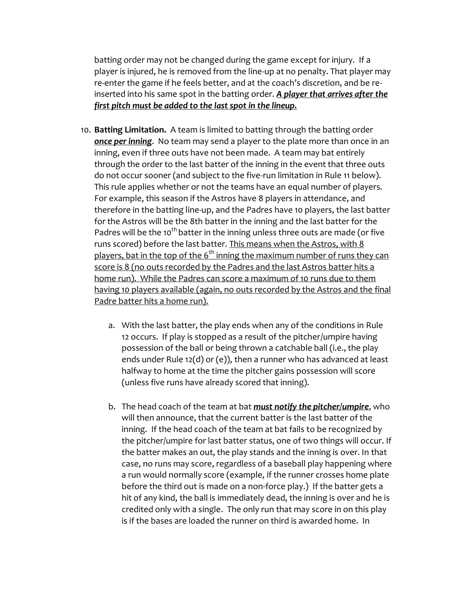batting order may not be changed during the game except for injury. If a player is injured, he is removed from the line-up at no penalty. That player may re-enter the game if he feels better, and at the coach's discretion, and be reinserted into his same spot in the batting order. *A player that arrives after the first pitch must be added to the last spot in the lineup.*

- 10. **Batting Limitation.** A team is limited to batting through the batting order *once per inning*. No team may send a player to the plate more than once in an inning, even if three outs have not been made. A team may bat entirely through the order to the last batter of the inning in the event that three outs do not occur sooner (and subject to the five-run limitation in Rule 11 below). This rule applies whether or not the teams have an equal number of players. For example, this season if the Astros have 8 players in attendance, and therefore in the batting line-up, and the Padres have 10 players, the last batter for the Astros will be the 8th batter in the inning and the last batter for the Padres will be the 10<sup>th</sup> batter in the inning unless three outs are made (or five runs scored) before the last batter. This means when the Astros, with 8 players, bat in the top of the  $6<sup>th</sup>$  inning the maximum number of runs they can score is 8 (no outs recorded by the Padres and the last Astros batter hits a home run). While the Padres can score a maximum of 10 runs due to them having 10 players available (again, no outs recorded by the Astros and the final Padre batter hits a home run).
	- a. With the last batter, the play ends when any of the conditions in Rule 12 occurs. If play is stopped as a result of the pitcher/umpire having possession of the ball or being thrown a catchable ball (i.e., the play ends under Rule 12(d) or (e)), then a runner who has advanced at least halfway to home at the time the pitcher gains possession will score (unless five runs have already scored that inning).
	- b. The head coach of the team at bat *must notify the pitcher/umpire*, who will then announce, that the current batter is the last batter of the inning. If the head coach of the team at bat fails to be recognized by the pitcher/umpire for last batter status, one of two things will occur. If the batter makes an out, the play stands and the inning is over. In that case, no runs may score, regardless of a baseball play happening where a run would normally score (example, if the runner crosses home plate before the third out is made on a non-force play.) If the batter gets a hit of any kind, the ball is immediately dead, the inning is over and he is credited only with a single. The only run that may score in on this play is if the bases are loaded the runner on third is awarded home. In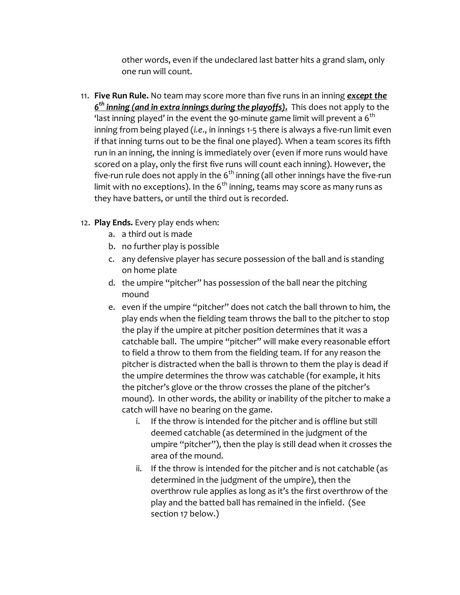other words, even if the undeclared last batter hits a grand slam, only one run will count.

11. **Five Run Rule.** No team may score more than five runs in an inning *except the 6 th inning (and in extra innings during the playoffs).* This does not apply to the 'last inning played' in the event the 90-minute game limit will prevent a  $6<sup>th</sup>$ inning from being played (*i.e*., in innings 1-5 there is always a five-run limit even if that inning turns out to be the final one played). When a team scores its fifth run in an inning, the inning is immediately over (even if more runs would have scored on a play, only the first five runs will count each inning). However, the five-run rule does not apply in the  $6<sup>th</sup>$  inning (all other innings have the five-run limit with no exceptions). In the  $6<sup>th</sup>$  inning, teams may score as many runs as they have batters, or until the third out is recorded.

## 12. **Play Ends.** Every play ends when:

- a. a third out is made
- b. no further play is possible
- c. any defensive player has secure possession of the ball and is standing on home plate
- d. the umpire "pitcher" has possession of the ball near the pitching mound
- e. even if the umpire "pitcher" does not catch the ball thrown to him, the play ends when the fielding team throws the ball to the pitcher to stop the play if the umpire at pitcher position determines that it was a catchable ball. The umpire "pitcher" will make every reasonable effort to field a throw to them from the fielding team. If for any reason the pitcher is distracted when the ball is thrown to them the play is dead if the umpire determines the throw was catchable (for example, it hits the pitcher's glove or the throw crosses the plane of the pitcher's mound). In other words, the ability or inability of the pitcher to make a catch will have no bearing on the game.
	- i. If the throw is intended for the pitcher and is offline but still deemed catchable (as determined in the judgment of the umpire "pitcher"), then the play is still dead when it crosses the area of the mound.
	- ii. If the throw is intended for the pitcher and is not catchable (as determined in the judgment of the umpire), then the overthrow rule applies as long as it's the first overthrow of the play and the batted ball has remained in the infield. (See section 17 below.)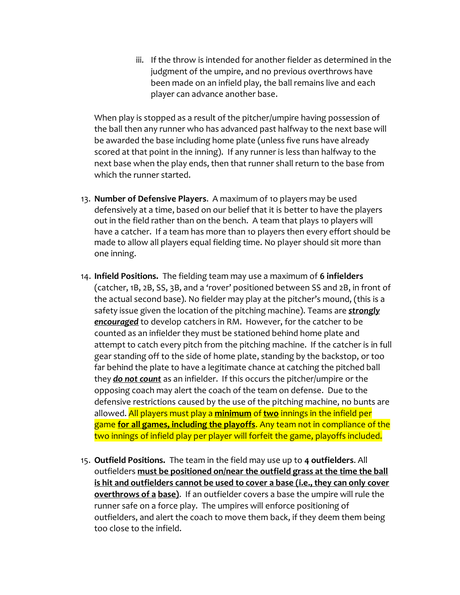iii. If the throw is intended for another fielder as determined in the judgment of the umpire, and no previous overthrows have been made on an infield play, the ball remains live and each player can advance another base.

When play is stopped as a result of the pitcher/umpire having possession of the ball then any runner who has advanced past halfway to the next base will be awarded the base including home plate (unless five runs have already scored at that point in the inning). If any runner is less than halfway to the next base when the play ends, then that runner shall return to the base from which the runner started.

- 13. **Number of Defensive Players**. A maximum of 1o players may be used defensively at a time, based on our belief that it is better to have the players out in the field rather than on the bench. A team that plays 10 players will have a catcher. If a team has more than 1o players then every effort should be made to allow all players equal fielding time. No player should sit more than one inning.
- 14. **Infield Positions.** The fielding team may use a maximum of **6 infielders** (catcher, 1B, 2B, SS, 3B, and a 'rover' positioned between SS and 2B, in front of the actual second base). No fielder may play at the pitcher's mound, (this is a safety issue given the location of the pitching machine). Teams are *strongly encouraged* to develop catchers in RM. However, for the catcher to be counted as an infielder they must be stationed behind home plate and attempt to catch every pitch from the pitching machine. If the catcher is in full gear standing off to the side of home plate, standing by the backstop, or too far behind the plate to have a legitimate chance at catching the pitched ball they *do not count* as an infielder. If this occurs the pitcher/umpire or the opposing coach may alert the coach of the team on defense. Due to the defensive restrictions caused by the use of the pitching machine, no bunts are allowed. All players must play a **minimum** of **two** innings in the infield per game **for all games, including the playoffs**. Any team not in compliance of the two innings of infield play per player will forfeit the game, playoffs included.
- 15. **Outfield Positions.** The team in the field may use up to **4 outfielders**. All outfielders **must be positioned on/near the outfield grass at the time the ball is hit and outfielders cannot be used to cover a base (i.e., they can only cover overthrows of a base)**. If an outfielder covers a base the umpire will rule the runner safe on a force play. The umpires will enforce positioning of outfielders, and alert the coach to move them back, if they deem them being too close to the infield.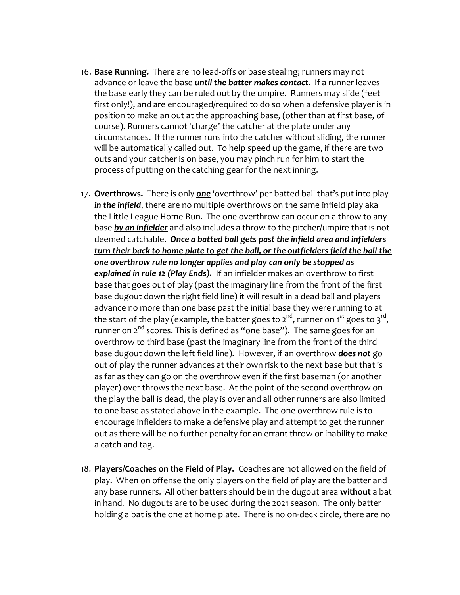- 16. **Base Running.** There are no lead-offs or base stealing; runners may not advance or leave the base *until the batter makes contact*. If a runner leaves the base early they can be ruled out by the umpire. Runners may slide (feet first only!), and are encouraged/required to do so when a defensive player is in position to make an out at the approaching base, (other than at first base, of course). Runners cannot 'charge' the catcher at the plate under any circumstances. If the runner runs into the catcher without sliding, the runner will be automatically called out. To help speed up the game, if there are two outs and your catcher is on base, you may pinch run for him to start the process of putting on the catching gear for the next inning.
- 17. **Overthrows.** There is only *one* 'overthrow' per batted ball that's put into play *in the infield*, there are no multiple overthrows on the same infield play aka the Little League Home Run. The one overthrow can occur on a throw to any base *by an infielder* and also includes a throw to the pitcher/umpire that is not deemed catchable. *Once a batted ball gets past the infield area and infielders turn their back to home plate to get the ball, or the outfielders field the ball the one overthrow rule no longer applies and play can only be stopped as explained in rule 12 (Play Ends).* If an infielder makes an overthrow to first base that goes out of play (past the imaginary line from the front of the first base dugout down the right field line) it will result in a dead ball and players advance no more than one base past the initial base they were running to at the start of the play (example, the batter goes to 2 $^{\text{nd}}$ , runner on 1st goes to 3 $^{\text{rd}}$ , runner on  $2^{nd}$  scores. This is defined as "one base"). The same goes for an overthrow to third base (past the imaginary line from the front of the third base dugout down the left field line). However, if an overthrow *does not* go out of play the runner advances at their own risk to the next base but that is as far as they can go on the overthrow even if the first baseman (or another player) over throws the next base. At the point of the second overthrow on the play the ball is dead, the play is over and all other runners are also limited to one base as stated above in the example. The one overthrow rule is to encourage infielders to make a defensive play and attempt to get the runner out as there will be no further penalty for an errant throw or inability to make a catch and tag.
- 18. **Players/Coaches on the Field of Play.** Coaches are not allowed on the field of play. When on offense the only players on the field of play are the batter and any base runners. All other batters should be in the dugout area **without** a bat in hand. No dugouts are to be used during the 2021 season. The only batter holding a bat is the one at home plate. There is no on-deck circle, there are no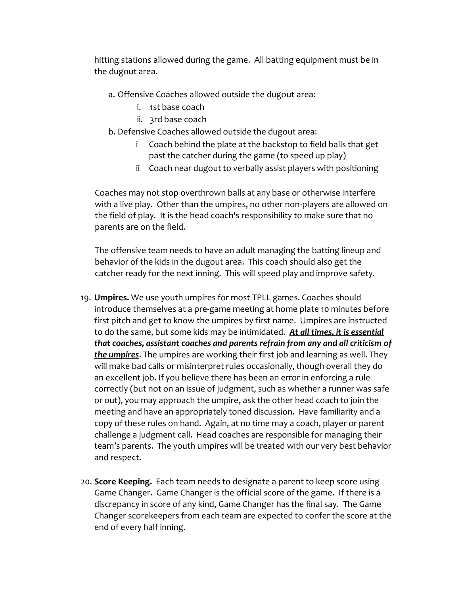hitting stations allowed during the game. All batting equipment must be in the dugout area.

- a. Offensive Coaches allowed outside the dugout area:
	- i. 1st base coach
	- ii. 3rd base coach
- b. Defensive Coaches allowed outside the dugout area:
	- i Coach behind the plate at the backstop to field balls that get past the catcher during the game (to speed up play)
	- ii Coach near dugout to verbally assist players with positioning

Coaches may not stop overthrown balls at any base or otherwise interfere with a live play. Other than the umpires, no other non-players are allowed on the field of play. It is the head coach's responsibility to make sure that no parents are on the field.

The offensive team needs to have an adult managing the batting lineup and behavior of the kids in the dugout area. This coach should also get the catcher ready for the next inning. This will speed play and improve safety.

- 19. **Umpires.** We use youth umpires for most TPLL games. Coaches should introduce themselves at a pre-game meeting at home plate 10 minutes before first pitch and get to know the umpires by first name. Umpires are instructed to do the same, but some kids may be intimidated. *At all times, it is essential that coaches, assistant coaches and parents refrain from any and all criticism of the umpires*. The umpires are working their first job and learning as well. They will make bad calls or misinterpret rules occasionally, though overall they do an excellent job. If you believe there has been an error in enforcing a rule correctly (but not on an issue of judgment, such as whether a runner was safe or out), you may approach the umpire, ask the other head coach to join the meeting and have an appropriately toned discussion. Have familiarity and a copy of these rules on hand. Again, at no time may a coach, player or parent challenge a judgment call. Head coaches are responsible for managing their team's parents. The youth umpires will be treated with our very best behavior and respect.
- 20. **Score Keeping.** Each team needs to designate a parent to keep score using Game Changer. Game Changer is the official score of the game. If there is a discrepancy in score of any kind, Game Changer has the final say. The Game Changer scorekeepers from each team are expected to confer the score at the end of every half inning.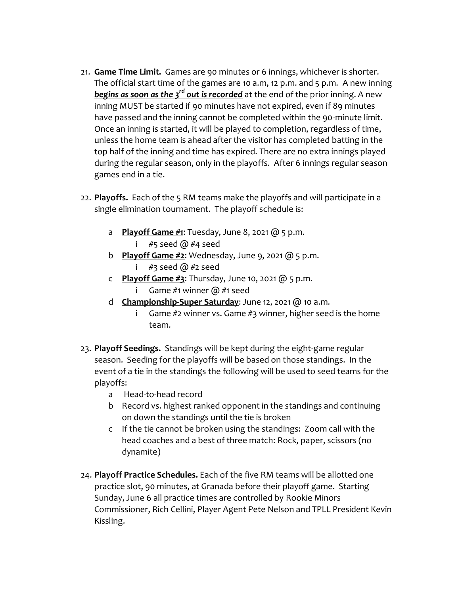- 21. **Game Time Limit.** Games are 90 minutes or 6 innings, whichever is shorter. The official start time of the games are 10 a.m, 12 p.m. and 5 p.m. A new inning *begins as soon as the 3rd out is recorded* at the end of the prior inning. A new inning MUST be started if 90 minutes have not expired, even if 89 minutes have passed and the inning cannot be completed within the 90-minute limit. Once an inning is started, it will be played to completion, regardless of time, unless the home team is ahead after the visitor has completed batting in the top half of the inning and time has expired. There are no extra innings played during the regular season, only in the playoffs. After 6 innings regular season games end in a tie.
- 22. **Playoffs.** Each of the 5 RM teams make the playoffs and will participate in a single elimination tournament. The playoff schedule is:
	- a **Playoff Game #1**: Tuesday, June 8, 2021 @ 5 p.m.
		- i  $#5$  seed @  $#4$  seed
	- b **Playoff Game #2**: Wednesday, June 9, 2021 @ 5 p.m.
		- i  $#3$  seed  $@#2$  seed
	- c **Playoff Game #3**: Thursday, June 10, 2021 @ 5 p.m.
		- i Game #1 winner  $\omega$  #1 seed
	- d **Championship-Super Saturday**: June 12, 2021 @ 10 a.m.
		- i Game  $#2$  winner vs. Game  $#3$  winner, higher seed is the home team.
- 23. **Playoff Seedings.** Standings will be kept during the eight-game regular season. Seeding for the playoffs will be based on those standings. In the event of a tie in the standings the following will be used to seed teams for the playoffs:
	- a Head-to-head record
	- b Record vs. highest ranked opponent in the standings and continuing on down the standings until the tie is broken
	- c If the tie cannot be broken using the standings: Zoom call with the head coaches and a best of three match: Rock, paper, scissors (no dynamite)
- 24. **Playoff Practice Schedules.** Each of the five RM teams will be allotted one practice slot, 90 minutes, at Granada before their playoff game. Starting Sunday, June 6 all practice times are controlled by Rookie Minors Commissioner, Rich Cellini, Player Agent Pete Nelson and TPLL President Kevin Kissling.